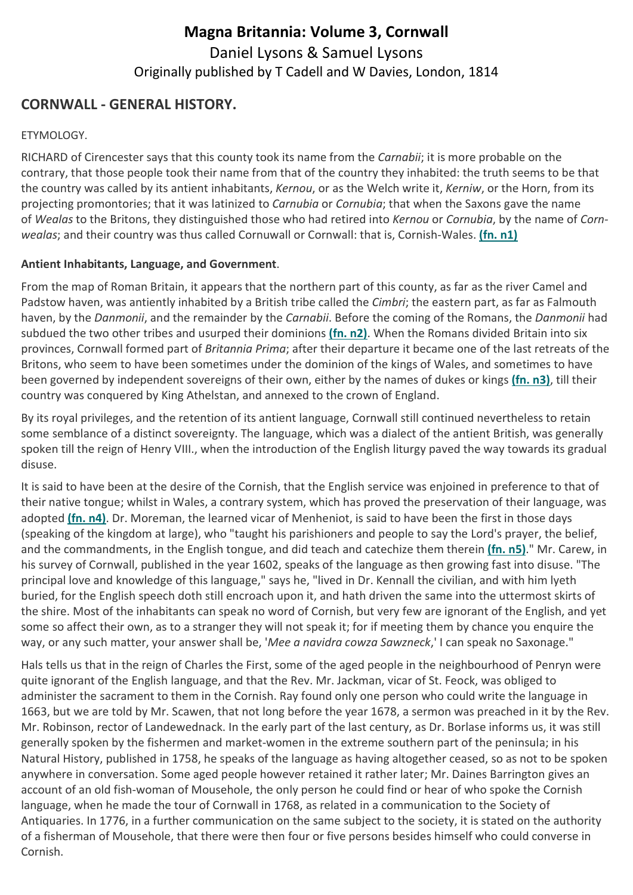# Magna Britannia: Volume 3, Cornwall Daniel Lysons & Samuel Lysons Originally published by T Cadell and W Davies, London, 1814

## CORNWALL - GENERAL HISTORY.

#### ETYMOLOGY.

RICHARD of Cirencester says that this county took its name from the Carnabii; it is more probable on the contrary, that those people took their name from that of the country they inhabited: the truth seems to be that the country was called by its antient inhabitants, Kernou, or as the Welch write it, Kerniw, or the Horn, from its projecting promontories; that it was latinized to *Carnubia* or *Cornubia*; that when the Saxons gave the name of Wealas to the Britons, they distinguished those who had retired into Kernou or Cornubia, by the name of Cornwealas; and their country was thus called Cornuwall or Cornwall: that is, Cornish-Wales. (fn. n1)

#### Antient Inhabitants, Language, and Government.

From the map of Roman Britain, it appears that the northern part of this county, as far as the river Camel and Padstow haven, was antiently inhabited by a British tribe called the Cimbri; the eastern part, as far as Falmouth haven, by the Danmonii, and the remainder by the Carnabii. Before the coming of the Romans, the Danmonii had subdued the two other tribes and usurped their dominions (fn. n2). When the Romans divided Britain into six provinces, Cornwall formed part of Britannia Prima; after their departure it became one of the last retreats of the Britons, who seem to have been sometimes under the dominion of the kings of Wales, and sometimes to have been governed by independent sovereigns of their own, either by the names of dukes or kings (fn. n3), till their country was conquered by King Athelstan, and annexed to the crown of England.

By its royal privileges, and the retention of its antient language, Cornwall still continued nevertheless to retain some semblance of a distinct sovereignty. The language, which was a dialect of the antient British, was generally spoken till the reign of Henry VIII., when the introduction of the English liturgy paved the way towards its gradual disuse.

It is said to have been at the desire of the Cornish, that the English service was enjoined in preference to that of their native tongue; whilst in Wales, a contrary system, which has proved the preservation of their language, was adopted (fn. n4). Dr. Moreman, the learned vicar of Menheniot, is said to have been the first in those days (speaking of the kingdom at large), who "taught his parishioners and people to say the Lord's prayer, the belief, and the commandments, in the English tongue, and did teach and catechize them therein (fn. n5)." Mr. Carew, in his survey of Cornwall, published in the year 1602, speaks of the language as then growing fast into disuse. "The principal love and knowledge of this language," says he, "lived in Dr. Kennall the civilian, and with him lyeth buried, for the English speech doth still encroach upon it, and hath driven the same into the uttermost skirts of the shire. Most of the inhabitants can speak no word of Cornish, but very few are ignorant of the English, and yet some so affect their own, as to a stranger they will not speak it; for if meeting them by chance you enquire the way, or any such matter, your answer shall be, 'Mee a navidra cowza Sawzneck,' I can speak no Saxonage."

Hals tells us that in the reign of Charles the First, some of the aged people in the neighbourhood of Penryn were quite ignorant of the English language, and that the Rev. Mr. Jackman, vicar of St. Feock, was obliged to administer the sacrament to them in the Cornish. Ray found only one person who could write the language in 1663, but we are told by Mr. Scawen, that not long before the year 1678, a sermon was preached in it by the Rev. Mr. Robinson, rector of Landewednack. In the early part of the last century, as Dr. Borlase informs us, it was still generally spoken by the fishermen and market-women in the extreme southern part of the peninsula; in his Natural History, published in 1758, he speaks of the language as having altogether ceased, so as not to be spoken anywhere in conversation. Some aged people however retained it rather later; Mr. Daines Barrington gives an account of an old fish-woman of Mousehole, the only person he could find or hear of who spoke the Cornish language, when he made the tour of Cornwall in 1768, as related in a communication to the Society of Antiquaries. In 1776, in a further communication on the same subject to the society, it is stated on the authority of a fisherman of Mousehole, that there were then four or five persons besides himself who could converse in Cornish.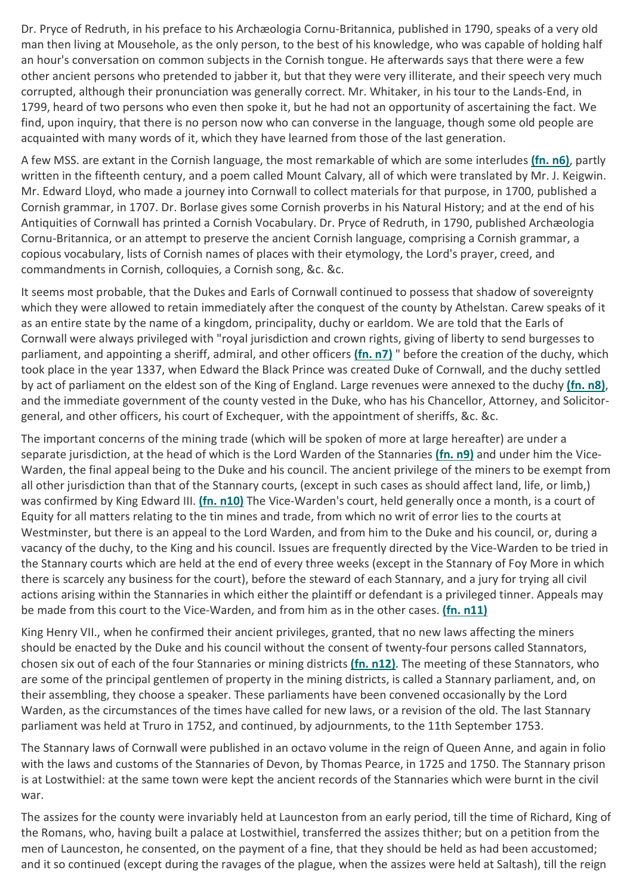Dr. Pryce of Redruth, in his preface to his Archæologia Cornu-Britannica, published in 1790, speaks of a very old man then living at Mousehole, as the only person, to the best of his knowledge, who was capable of holding half an hour's conversation on common subjects in the Cornish tongue. He afterwards says that there were a few other ancient persons who pretended to jabber it, but that they were very illiterate, and their speech very much corrupted, although their pronunciation was generally correct. Mr. Whitaker, in his tour to the Lands-End, in 1799, heard of two persons who even then spoke it, but he had not an opportunity of ascertaining the fact. We find, upon inquiry, that there is no person now who can converse in the language, though some old people are acquainted with many words of it, which they have learned from those of the last generation.

A few MSS. are extant in the Cornish language, the most remarkable of which are some interludes (fn. n6), partly written in the fifteenth century, and a poem called Mount Calvary, all of which were translated by Mr. J. Keigwin. Mr. Edward Lloyd, who made a journey into Cornwall to collect materials for that purpose, in 1700, published a Cornish grammar, in 1707. Dr. Borlase gives some Cornish proverbs in his Natural History; and at the end of his Antiquities of Cornwall has printed a Cornish Vocabulary. Dr. Pryce of Redruth, in 1790, published Archæologia Cornu-Britannica, or an attempt to preserve the ancient Cornish language, comprising a Cornish grammar, a copious vocabulary, lists of Cornish names of places with their etymology, the Lord's prayer, creed, and commandments in Cornish, colloquies, a Cornish song, &c. &c.

It seems most probable, that the Dukes and Earls of Cornwall continued to possess that shadow of sovereignty which they were allowed to retain immediately after the conquest of the county by Athelstan. Carew speaks of it as an entire state by the name of a kingdom, principality, duchy or earldom. We are told that the Earls of Cornwall were always privileged with "royal jurisdiction and crown rights, giving of liberty to send burgesses to parliament, and appointing a sheriff, admiral, and other officers (fn. n7) " before the creation of the duchy, which took place in the year 1337, when Edward the Black Prince was created Duke of Cornwall, and the duchy settled by act of parliament on the eldest son of the King of England. Large revenues were annexed to the duchy (fn. n8), and the immediate government of the county vested in the Duke, who has his Chancellor, Attorney, and Solicitorgeneral, and other officers, his court of Exchequer, with the appointment of sheriffs, &c. &c.

The important concerns of the mining trade (which will be spoken of more at large hereafter) are under a separate jurisdiction, at the head of which is the Lord Warden of the Stannaries (fn. n9) and under him the Vice-Warden, the final appeal being to the Duke and his council. The ancient privilege of the miners to be exempt from all other jurisdiction than that of the Stannary courts, (except in such cases as should affect land, life, or limb,) was confirmed by King Edward III. (fn. n10) The Vice-Warden's court, held generally once a month, is a court of Equity for all matters relating to the tin mines and trade, from which no writ of error lies to the courts at Westminster, but there is an appeal to the Lord Warden, and from him to the Duke and his council, or, during a vacancy of the duchy, to the King and his council. Issues are frequently directed by the Vice-Warden to be tried in the Stannary courts which are held at the end of every three weeks (except in the Stannary of Foy More in which there is scarcely any business for the court), before the steward of each Stannary, and a jury for trying all civil actions arising within the Stannaries in which either the plaintiff or defendant is a privileged tinner. Appeals may be made from this court to the Vice-Warden, and from him as in the other cases. (fn. n11)

King Henry VII., when he confirmed their ancient privileges, granted, that no new laws affecting the miners should be enacted by the Duke and his council without the consent of twenty-four persons called Stannators, chosen six out of each of the four Stannaries or mining districts (fn. n12). The meeting of these Stannators, who are some of the principal gentlemen of property in the mining districts, is called a Stannary parliament, and, on their assembling, they choose a speaker. These parliaments have been convened occasionally by the Lord Warden, as the circumstances of the times have called for new laws, or a revision of the old. The last Stannary parliament was held at Truro in 1752, and continued, by adjournments, to the 11th September 1753.

The Stannary laws of Cornwall were published in an octavo volume in the reign of Queen Anne, and again in folio with the laws and customs of the Stannaries of Devon, by Thomas Pearce, in 1725 and 1750. The Stannary prison is at Lostwithiel: at the same town were kept the ancient records of the Stannaries which were burnt in the civil war.

The assizes for the county were invariably held at Launceston from an early period, till the time of Richard, King of the Romans, who, having built a palace at Lostwithiel, transferred the assizes thither; but on a petition from the men of Launceston, he consented, on the payment of a fine, that they should be held as had been accustomed; and it so continued (except during the ravages of the plague, when the assizes were held at Saltash), till the reign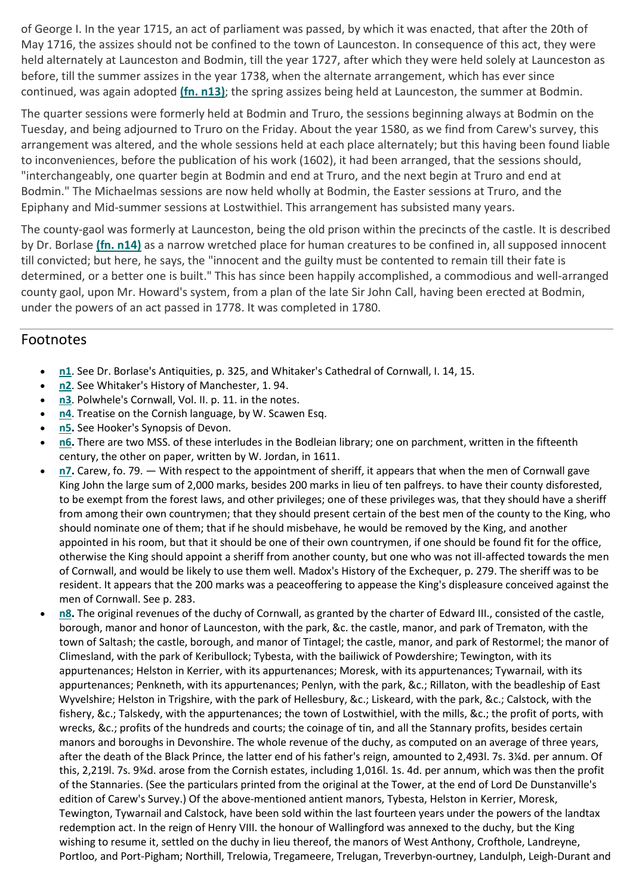of George I. In the year 1715, an act of parliament was passed, by which it was enacted, that after the 20th of May 1716, the assizes should not be confined to the town of Launceston. In consequence of this act, they were held alternately at Launceston and Bodmin, till the year 1727, after which they were held solely at Launceston as before, till the summer assizes in the year 1738, when the alternate arrangement, which has ever since continued, was again adopted (fn. n13); the spring assizes being held at Launceston, the summer at Bodmin.

The quarter sessions were formerly held at Bodmin and Truro, the sessions beginning always at Bodmin on the Tuesday, and being adjourned to Truro on the Friday. About the year 1580, as we find from Carew's survey, this arrangement was altered, and the whole sessions held at each place alternately; but this having been found liable to inconveniences, before the publication of his work (1602), it had been arranged, that the sessions should, "interchangeably, one quarter begin at Bodmin and end at Truro, and the next begin at Truro and end at Bodmin." The Michaelmas sessions are now held wholly at Bodmin, the Easter sessions at Truro, and the Epiphany and Mid-summer sessions at Lostwithiel. This arrangement has subsisted many years.

The county-gaol was formerly at Launceston, being the old prison within the precincts of the castle. It is described by Dr. Borlase (fn. n14) as a narrow wretched place for human creatures to be confined in, all supposed innocent till convicted; but here, he says, the "innocent and the guilty must be contented to remain till their fate is determined, or a better one is built." This has since been happily accomplished, a commodious and well-arranged county gaol, upon Mr. Howard's system, from a plan of the late Sir John Call, having been erected at Bodmin, under the powers of an act passed in 1778. It was completed in 1780.

### Footnotes

- n1. See Dr. Borlase's Antiquities, p. 325, and Whitaker's Cathedral of Cornwall, I. 14, 15.
- n2. See Whitaker's History of Manchester, 1.94.
- n3. Polwhele's Cornwall, Vol. II. p. 11. in the notes.
- n4. Treatise on the Cornish language, by W. Scawen Esq.
- n5. See Hooker's Synopsis of Devon.
- n6. There are two MSS. of these interludes in the Bodleian library; one on parchment, written in the fifteenth century, the other on paper, written by W. Jordan, in 1611.
- n7. Carew, fo. 79. With respect to the appointment of sheriff, it appears that when the men of Cornwall gave King John the large sum of 2,000 marks, besides 200 marks in lieu of ten palfreys. to have their county disforested, to be exempt from the forest laws, and other privileges; one of these privileges was, that they should have a sheriff from among their own countrymen; that they should present certain of the best men of the county to the King, who should nominate one of them; that if he should misbehave, he would be removed by the King, and another appointed in his room, but that it should be one of their own countrymen, if one should be found fit for the office, otherwise the King should appoint a sheriff from another county, but one who was not ill-affected towards the men of Cornwall, and would be likely to use them well. Madox's History of the Exchequer, p. 279. The sheriff was to be resident. It appears that the 200 marks was a peaceoffering to appease the King's displeasure conceived against the men of Cornwall. See p. 283.
- n8. The original revenues of the duchy of Cornwall, as granted by the charter of Edward III., consisted of the castle, borough, manor and honor of Launceston, with the park, &c. the castle, manor, and park of Trematon, with the town of Saltash; the castle, borough, and manor of Tintagel; the castle, manor, and park of Restormel; the manor of Climesland, with the park of Keribullock; Tybesta, with the bailiwick of Powdershire; Tewington, with its appurtenances; Helston in Kerrier, with its appurtenances; Moresk, with its appurtenances; Tywarnail, with its appurtenances; Penkneth, with its appurtenances; Penlyn, with the park, &c.; Rillaton, with the beadleship of East Wyvelshire; Helston in Trigshire, with the park of Hellesbury, &c.; Liskeard, with the park, &c.; Calstock, with the fishery, &c.; Talskedy, with the appurtenances; the town of Lostwithiel, with the mills, &c.; the profit of ports, with wrecks, &c.; profits of the hundreds and courts; the coinage of tin, and all the Stannary profits, besides certain manors and boroughs in Devonshire. The whole revenue of the duchy, as computed on an average of three years, after the death of the Black Prince, the latter end of his father's reign, amounted to 2,493l. 7s. 3¼d. per annum. Of this, 2,219l. 7s. 9¾d. arose from the Cornish estates, including 1,016l. 1s. 4d. per annum, which was then the profit of the Stannaries. (See the particulars printed from the original at the Tower, at the end of Lord De Dunstanville's edition of Carew's Survey.) Of the above-mentioned antient manors, Tybesta, Helston in Kerrier, Moresk, Tewington, Tywarnail and Calstock, have been sold within the last fourteen years under the powers of the landtax redemption act. In the reign of Henry VIII. the honour of Wallingford was annexed to the duchy, but the King wishing to resume it, settled on the duchy in lieu thereof, the manors of West Anthony, Crofthole, Landreyne, Portloo, and Port-Pigham; Northill, Trelowia, Tregameere, Trelugan, Treverbyn-ourtney, Landulph, Leigh-Durant and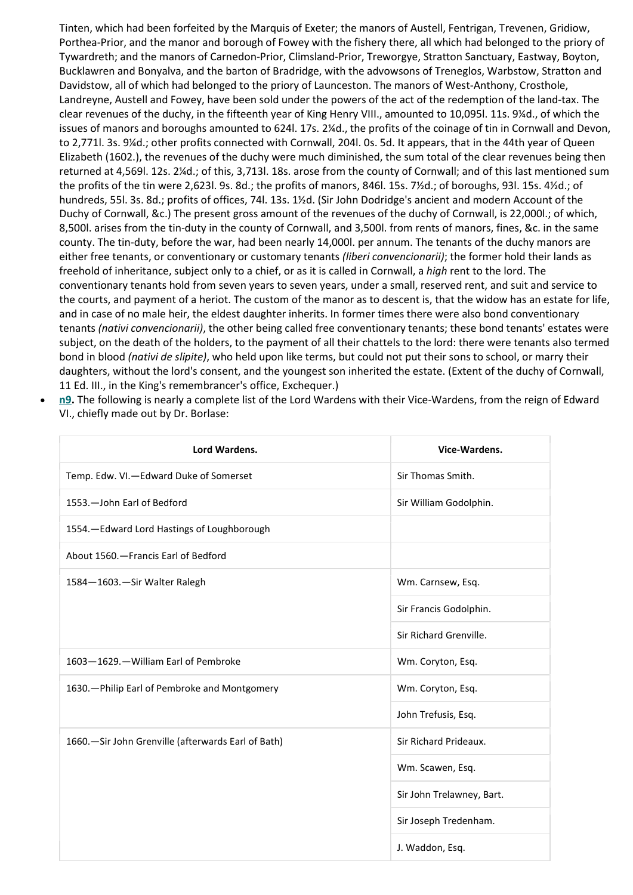Tinten, which had been forfeited by the Marquis of Exeter; the manors of Austell, Fentrigan, Trevenen, Gridiow, Porthea-Prior, and the manor and borough of Fowey with the fishery there, all which had belonged to the priory of Tywardreth; and the manors of Carnedon-Prior, Climsland-Prior, Treworgye, Stratton Sanctuary, Eastway, Boyton, Bucklawren and Bonyalva, and the barton of Bradridge, with the advowsons of Treneglos, Warbstow, Stratton and Davidstow, all of which had belonged to the priory of Launceston. The manors of West-Anthony, Crosthole, Landreyne, Austell and Fowey, have been sold under the powers of the act of the redemption of the land-tax. The clear revenues of the duchy, in the fifteenth year of King Henry VIII., amounted to 10,095l. 11s. 9¼d., of which the issues of manors and boroughs amounted to 624l. 17s. 2¼d., the profits of the coinage of tin in Cornwall and Devon, to 2,771l. 3s. 9¼d.; other profits connected with Cornwall, 204l. 0s. 5d. It appears, that in the 44th year of Queen Elizabeth (1602.), the revenues of the duchy were much diminished, the sum total of the clear revenues being then returned at 4,569l. 12s. 2¼d.; of this, 3,713l. 18s. arose from the county of Cornwall; and of this last mentioned sum the profits of the tin were 2,623l. 9s. 8d.; the profits of manors, 846l. 15s. 7½d.; of boroughs, 93l. 15s. 4½d.; of hundreds, 55l. 3s. 8d.; profits of offices, 74l. 13s. 1½d. (Sir John Dodridge's ancient and modern Account of the Duchy of Cornwall, &c.) The present gross amount of the revenues of the duchy of Cornwall, is 22,000l.; of which, 8,500l. arises from the tin-duty in the county of Cornwall, and 3,500l. from rents of manors, fines, &c. in the same county. The tin-duty, before the war, had been nearly 14,000l. per annum. The tenants of the duchy manors are either free tenants, or conventionary or customary tenants (liberi convencionarii); the former hold their lands as freehold of inheritance, subject only to a chief, or as it is called in Cornwall, a high rent to the lord. The conventionary tenants hold from seven years to seven years, under a small, reserved rent, and suit and service to the courts, and payment of a heriot. The custom of the manor as to descent is, that the widow has an estate for life, and in case of no male heir, the eldest daughter inherits. In former times there were also bond conventionary tenants (nativi convencionarii), the other being called free conventionary tenants; these bond tenants' estates were subject, on the death of the holders, to the payment of all their chattels to the lord: there were tenants also termed bond in blood *(nativi de slipite)*, who held upon like terms, but could not put their sons to school, or marry their daughters, without the lord's consent, and the youngest son inherited the estate. (Extent of the duchy of Cornwall, 11 Ed. III., in the King's remembrancer's office, Exchequer.)

n9. The following is nearly a complete list of the Lord Wardens with their Vice-Wardens, from the reign of Edward VI., chiefly made out by Dr. Borlase:

| Lord Wardens.                                        | Vice-Wardens.             |
|------------------------------------------------------|---------------------------|
| Temp. Edw. VI.-Edward Duke of Somerset               | Sir Thomas Smith.         |
| 1553. - John Earl of Bedford                         | Sir William Godolphin.    |
| 1554. - Edward Lord Hastings of Loughborough         |                           |
| About 1560. - Francis Earl of Bedford                |                           |
| 1584-1603.-Sir Walter Ralegh                         | Wm. Carnsew, Esq.         |
|                                                      | Sir Francis Godolphin.    |
|                                                      | Sir Richard Grenville.    |
| 1603-1629.-William Earl of Pembroke                  | Wm. Coryton, Esq.         |
| 1630. - Philip Earl of Pembroke and Montgomery       | Wm. Coryton, Esq.         |
|                                                      | John Trefusis, Esq.       |
| 1660. - Sir John Grenville (afterwards Earl of Bath) | Sir Richard Prideaux.     |
|                                                      | Wm. Scawen, Esq.          |
|                                                      | Sir John Trelawney, Bart. |
|                                                      | Sir Joseph Tredenham.     |
|                                                      | J. Waddon, Esq.           |